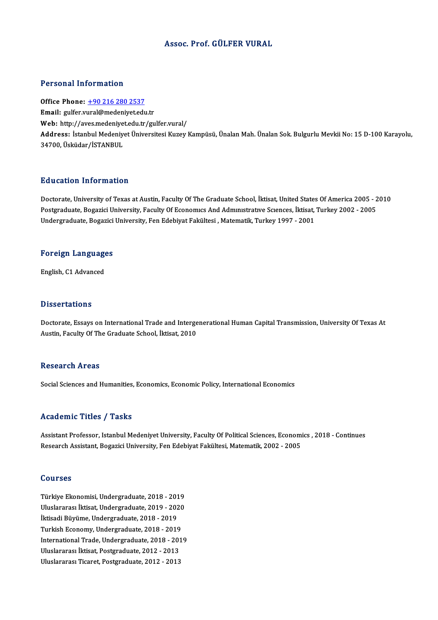## Assoc. Prof. GÜLFER VURAL

### Personal Information

Office Phone: +90 216 280 2537 Email: gulfer.v[ural@medeniyet.edu](tel:+90 216 280 2537).tr Office Phone: <u>+90 216 280 2537</u><br>Email: gulfer.vural@medeniyet.edu.tr<br>Web: http://aves.medeniyet.edu.tr/gulfer.vural/<br>Address. Istanbul Medeniyet.<sup>fl</sup>niyersitesi.Kurey. Address: İstanbul Medeniyet Üniversitesi Kuzey Kampüsü, Ünalan Mah. Ünalan Sok. Bulgurlu Mevkii No: 15 D-100 Karayolu,<br>34700, Üsküdar/İSTANBUL Web: http://aves.medeniye<br>Address: İstanbul Medeniy<br>34700, Üsküdar/İSTANBUL

## Education Information

Education Information<br>Doctorate, University of Texas at Austin, Faculty Of The Graduate School, İktisat, United States Of America 2005 - 2010<br>Postaraduate Pogazisi University, Faculty Of Esenemuse And Admunstrative Science Pu d'ederen "Infermation"<br>Doctorate, University of Texas at Austin, Faculty Of The Graduate School, İktisat, United States Of America 2005 - 2<br>Postgraduate, Bogazici University, Faculty Of Economics And Administrative Scie Doctorate, University of Texas at Austin, Faculty Of The Graduate School, İktisat, United States<br>Postgraduate, Bogazici University, Faculty Of Economics And Administrative Sciences, İktisat,<br>Undergraduate, Bogazici Univers

## <sub>ondergraduate, bogazici<br>Foreign Languages</sub> F<mark>oreign Languag</mark>e<br>English, C1 Advanced

English, C1 Advanced<br>Dissertations

Dissertations<br>Doctorate, Essays on International Trade and Intergenerational Human Capital Transmission, University Of Texas At<br>Austin, Faculty Of The Craduate School, Utiest, 2010 2 19991 dations<br>Doctorate, Essays on International Trade and Interge<br>Austin, Faculty Of The Graduate School, İktisat, 2010 Austin, Faculty Of The Graduate School, İktisat, 2010<br>Research Areas

Social Sciences and Humanities, Economics, Economic Policy, International Economics

## Academic Titles / Tasks

Academic Titles / Tasks<br>Assistant Professor, Istanbul Medeniyet University, Faculty Of Political Sciences, Economics , 2018 - Continues<br>Research Assistant, Begazisi University, Fan Edebiyat Felsiltesi, Matematik, 2002, 200 rrouwennie Freree 7<br>Assistant Professor, Istanbul Medeniyet University, Faculty Of Political Sciences, Econom<br>Research Assistant, Bogazici University, Fen Edebiyat Fakültesi, Matematik, 2002 - 2005 Research Assistant, Bogazici University, Fen Edebiyat Fakültesi, Matematik, 2002 - 2005<br>Courses

**Courses<br>Türkiye Ekonomisi, Undergraduate, 2018 - 2019<br>Uluslarense: İkiset Undergraduate, 2018 - 2020** UULISEE<br>Türkiye Ekonomisi, Undergraduate, 2018 - 2019<br>Uluslararası İktisat, Undergraduate, 2019 - 2020<br>İktisadi Büyüme, Undergraduate, 2019 - 2019 Türkiye Ekonomisi, Undergraduate, 2018 - 201<br>Uluslararası İktisat, Undergraduate, 2019 - 202<br>İktisadi Büyüme, Undergraduate, 2018 - 2019<br>Turkish Esenomu, Undergraduate, 2018 - 2019 Uluslararası İktisat, Undergraduate, 2019 - 2020<br>İktisadi Büyüme, Undergraduate, 2018 - 2019<br>Turkish Economy, Undergraduate, 2018 - 2019 İktisadi Büyüme, Undergraduate, 2018 - 2019<br>Turkish Economy, Undergraduate, 2018 - 2019<br>International Trade, Undergraduate, 2018 - 2019<br>Illuelarares: Utisat, Bestanaduate, 2012, 2012 Turkish Economy, Undergraduate, 2018 - 2019<br>International Trade, Undergraduate, 2018 - 201<br>Uluslararası İktisat, Postgraduate, 2012 - 2013<br>Uluslararası Tisarat, Postgraduata, 2012 - 2013 International Trade, Undergraduate, 2018 - 201<br>Uluslararası İktisat, Postgraduate, 2012 - 2013<br>Uluslararası Ticaret, Postgraduate, 2012 - 2013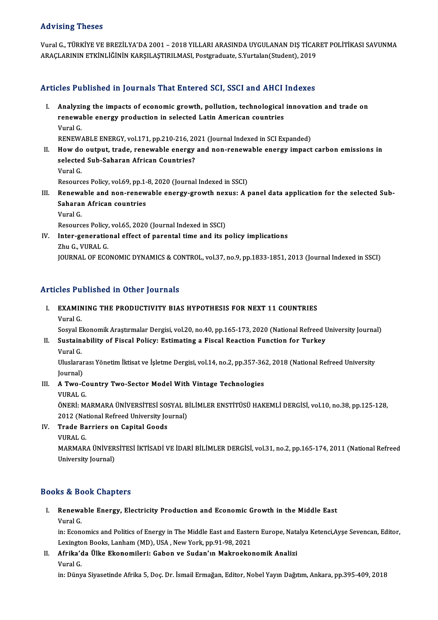## Advising Theses

Advising Theses<br>Vural G., TÜRKİYE VE BREZİLYA'DA 2001 – 2018 YILLARI ARASINDA UYGULANAN DIŞ TİCARET POLİTİKASI SAVUNMA<br>ARACI ARININ ETKİNI İĞİNİN KARSIL ASTIRILMASI Pestsradusta S.Yurtalar.(Student), 2019 11a vising 7 neses<br>Vural G., TÜRKİYE VE BREZİLYA'DA 2001 – 2018 YILLARI ARASINDA UYGULANAN DIŞ TİCAF<br>ARAÇLARININ ETKİNLİĞİNİN KARŞILAŞTIRILMASI, Postgraduate, S.Yurtalan(Student), 2019 ARAÇLARININ ETKİNLİĞİNİN KARŞILAŞTIRILMASI, Postgraduate, S.Yurtalan(Student), 2019<br>Articles Published in Journals That Entered SCI, SSCI and AHCI Indexes

rticles Published in Journals That Entered SCI, SSCI and AHCI Indexes<br>I. Analyzing the impacts of economic growth, pollution, technological innovation and trade on<br>renewable energy production in selected Letin American cou rese rushished in journals rhac affected Self Seer and first<br>Analyzing the impacts of economic growth, pollution, technological<br>renewable energy production in selected Latin American countries A<mark>nalyzi</mark><br>renewa<br>Vural G.<br>PENEW. renewable energy production in selected Latin American countries<br>Vural G.<br>RENEWABLE ENERGY, vol.171, pp.210-216, 2021 (Journal Indexed in SCI Expanded)<br>How de output, trade, renewable energy and non-renewable energy impect Vural G.<br>RENEWABLE ENERGY, vol.171, pp.210-216, 2021 (Journal Indexed in SCI Expanded)<br>II. How do output, trade, renewable energy and non-renewable energy impact carbon emissions in<br>selected Sub Seberan African Countries?

- RENEWABLE ENERGY, vol.171, pp.210-216, 20<br>How do output, trade, renewable energy<br>selected Sub-Saharan African Countries?<br><sup>Varal C</sup> How do<br>selected<br>Vural G.<br>Peseure selected Sub-Saharan African Countries?<br>
Vural G.<br>
Resources Policy, vol.69, pp.1-8, 2020 (Journal Indexed in SSCI) Vural G.<br>Resources Policy, vol.69, pp.1-8, 2020 (Journal Indexed in SSCI)<br>III. Renewable and non-renewable energy-growth nexus: A panel data application for the selected Sub-<br>Sebagan African countries
- Resources Policy, vol.69, pp.1-<br>Renewable and non-renew<br>Saharan African countries<br><sup>Vanal</sup> C Renewa<br>Saharai<br>Vural G.<br><sup>Reseure</sup> Saharan African countries<br>Policy, vol.65, 2020 (Journal Indexed in SSCI)<br>Resources Policy, vol.65, 2020 (Journal Indexed in SSCI)
	-

Vural G.<br>Resources Policy, vol.65, 2020 (Journal Indexed in SSCI)<br>IV. Inter-generational effect of parental time and its policy implications<br>Thu C. VURAL C Resources Policy,<br>I<mark>nter-generatio</mark><br>Zhu G., VURAL G.<br>JOUPNAL OF ECO Zhu G., VURAL G.<br>JOURNAL OF ECONOMIC DYNAMICS & CONTROL, vol.37, no.9, pp.1833-1851, 2013 (Journal Indexed in SSCI)

## Articles Published in Other Journals

I. EXAMINING THE PRODUCTIVITY BIAS HYPOTHESIS FOR NEXT 11 COUNTRIES VuralG.

Sosyal Ekonomik Araştırmalar Dergisi, vol.20, no.40, pp.165-173, 2020 (National Refreed University Journal)

Vural G.<br>Sosyal Ekonomik Araştırmalar Dergisi, vol.20, no.40, pp.165-173, 2020 (National Refreed U<br>II. Sustainability of Fiscal Policy: Estimating a Fiscal Reaction Function for Turkey<br>Varal C Sosyal <mark>E</mark><br>Sustain<br>Vural G.<br><sup>Hluclare</sup> Sustainability of Fiscal Policy: Estimating a Fiscal Reaction Function for Turkey<br>Vural G.<br>Uluslararası Yönetim İktisat ve İşletme Dergisi, vol.14, no.2, pp.357-362, 2018 (National Refreed University<br>Journal)

Vural G.<br>Uluslarar<br>Journal)<br>A Two G Uluslararası Yönetim İktisat ve İşletme Dergisi, vol.14, no.2, pp.357-36<br>Journal)<br>III. A Two-Country Two-Sector Model With Vintage Technologies<br>VIIBAL C

Journal)<br>III. A Two-Country Two-Sector Model With Vintage Technologies<br>VURAL G.

ÖNERİ:MARMARAÜNİVERSİTESİ SOSYALBİLİMLERENSTİTÜSÜHAKEMLİDERGİSİ,vol.10,no.38,pp.125-128, VURAL G.<br>ÖNERİ: MARMARA ÜNIVERSITESİ SOSYAL B<br>2012 (National Refreed University Journal)<br>Trade Barriers en Ganital Coods 2012 (Nat<br>**Trade Ba<br>VURAL G.<br>MARMAR** 

IV. Trade Barriers on Capital Goods

Trade Barriers on Capital Goods<br>VURAL G.<br>MARMARA ÜNİVERSİTESİ İKTİSADİ VE İDARİ BİLİMLER DERGİSİ, vol.31, no.2, pp.165-174, 2011 (National Refreed VURAL G.<br>MARMARA ÜNİVER<br>University Journal)

# University Journal)<br>Books & Book Chapters

I. Renewable Energy, Electricity Production and Economic Growth in theMiddle East ks & Be<br>Renewa<br>Vural G.<br>in: Esen Renewable Energy, Electricity Production and Economic Growth in the Middle East<br>Vural G.<br>in: Economics and Politics of Energy in The Middle East and Eastern Europe, Natalya Ketenci,Ayşe Sevencan, Editor,<br>Lavington Books, L

Vural G.<br>in: Economics and Politics of Energy in The Middle East and Easte:<br>Lexington Books, Lanham (MD), USA , New York, pp.91-98, 2021<br>Afrika'da Ülke Ekonomilari: Cabon ve Sudan'ın Makroakoı in: Economics and Politics of Energy in The Middle East and Eastern Europe, Nata<br>Lexington Books, Lanham (MD), USA , New York, pp.91-98, 2021<br>II. Afrika'da Ülke Ekonomileri: Gabon ve Sudan'ın Makroekonomik Analizi<br>Vural C

Lexington Books, Lanham (MD), USA , New York, pp.91-98, 2021<br>II. Afrika'da Ülke Ekonomileri: Gabon ve Sudan'ın Makroekonomik Analizi<br>Vural G.

in: Dünya Siyasetinde Afrika 5, Doç. Dr. İsmail Ermağan, Editor, Nobel Yayın Dağıtım, Ankara, pp.395-409, 2018